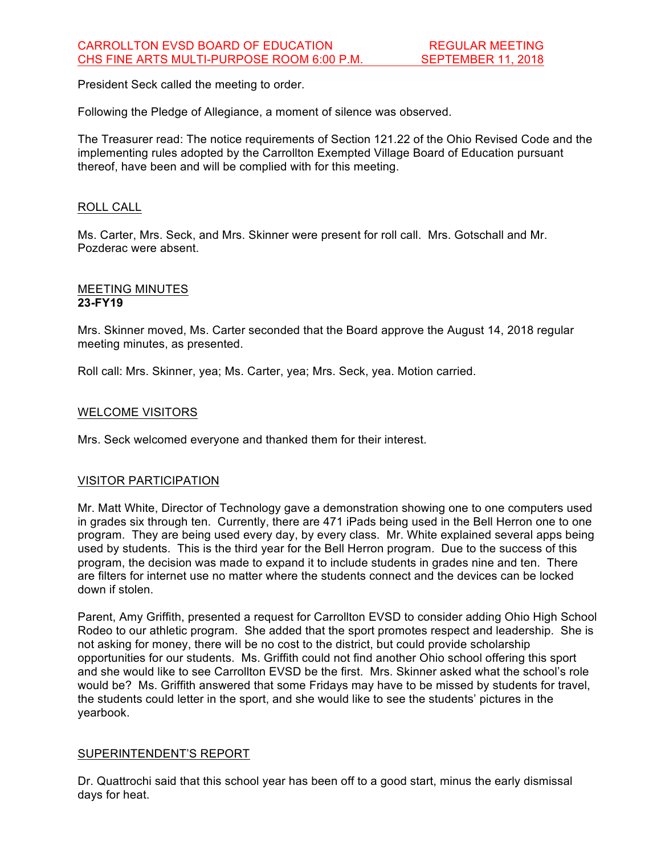President Seck called the meeting to order.

Following the Pledge of Allegiance, a moment of silence was observed.

The Treasurer read: The notice requirements of Section 121.22 of the Ohio Revised Code and the implementing rules adopted by the Carrollton Exempted Village Board of Education pursuant thereof, have been and will be complied with for this meeting.

## ROLL CALL

Ms. Carter, Mrs. Seck, and Mrs. Skinner were present for roll call. Mrs. Gotschall and Mr. Pozderac were absent.

#### MEETING MINUTES **23-FY19**

Mrs. Skinner moved, Ms. Carter seconded that the Board approve the August 14, 2018 regular meeting minutes, as presented.

Roll call: Mrs. Skinner, yea; Ms. Carter, yea; Mrs. Seck, yea. Motion carried.

## WELCOME VISITORS

Mrs. Seck welcomed everyone and thanked them for their interest.

# VISITOR PARTICIPATION

Mr. Matt White, Director of Technology gave a demonstration showing one to one computers used in grades six through ten. Currently, there are 471 iPads being used in the Bell Herron one to one program. They are being used every day, by every class. Mr. White explained several apps being used by students. This is the third year for the Bell Herron program. Due to the success of this program, the decision was made to expand it to include students in grades nine and ten. There are filters for internet use no matter where the students connect and the devices can be locked down if stolen.

Parent, Amy Griffith, presented a request for Carrollton EVSD to consider adding Ohio High School Rodeo to our athletic program. She added that the sport promotes respect and leadership. She is not asking for money, there will be no cost to the district, but could provide scholarship opportunities for our students. Ms. Griffith could not find another Ohio school offering this sport and she would like to see Carrollton EVSD be the first. Mrs. Skinner asked what the school's role would be? Ms. Griffith answered that some Fridays may have to be missed by students for travel, the students could letter in the sport, and she would like to see the students' pictures in the yearbook.

#### SUPERINTENDENT'S REPORT

Dr. Quattrochi said that this school year has been off to a good start, minus the early dismissal days for heat.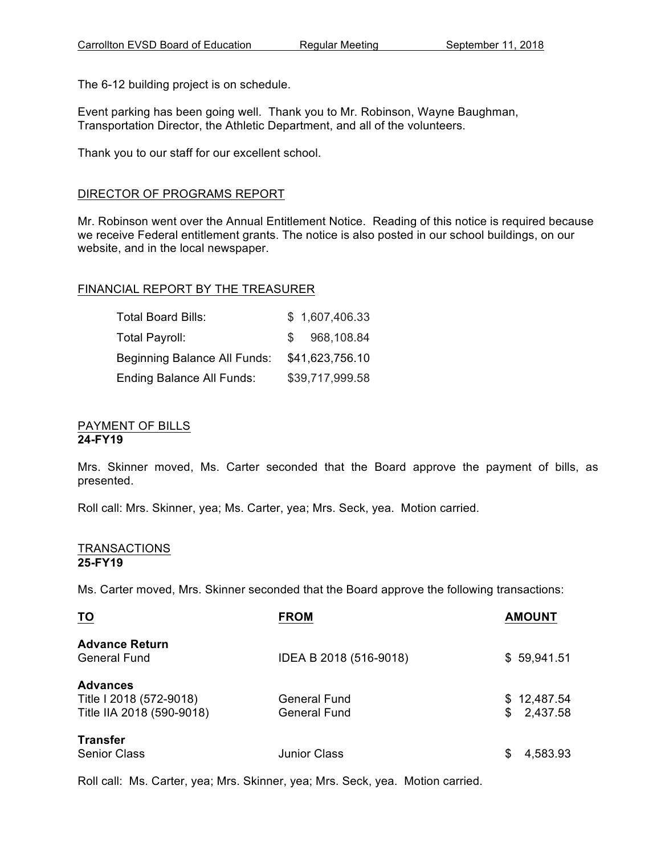The 6-12 building project is on schedule.

Event parking has been going well. Thank you to Mr. Robinson, Wayne Baughman, Transportation Director, the Athletic Department, and all of the volunteers.

Thank you to our staff for our excellent school.

## DIRECTOR OF PROGRAMS REPORT

Mr. Robinson went over the Annual Entitlement Notice. Reading of this notice is required because we receive Federal entitlement grants. The notice is also posted in our school buildings, on our website, and in the local newspaper.

## FINANCIAL REPORT BY THE TREASURER

| Total Board Bills:           | \$1,607,406.33    |
|------------------------------|-------------------|
| Total Payroll:               | 968,108.84<br>SS. |
| Beginning Balance All Funds: | \$41,623,756.10   |
| Ending Balance All Funds:    | \$39,717,999.58   |

#### PAYMENT OF BILLS **24-FY19**

Mrs. Skinner moved, Ms. Carter seconded that the Board approve the payment of bills, as presented.

Roll call: Mrs. Skinner, yea; Ms. Carter, yea; Mrs. Seck, yea. Motion carried.

#### TRANSACTIONS **25-FY19**

Ms. Carter moved, Mrs. Skinner seconded that the Board approve the following transactions:

| <b>TO</b>                                                               | <b>FROM</b>                         | <b>AMOUNT</b>                 |
|-------------------------------------------------------------------------|-------------------------------------|-------------------------------|
| <b>Advance Return</b><br><b>General Fund</b>                            | IDEA B 2018 (516-9018)              | \$59,941.51                   |
| <b>Advances</b><br>Title I 2018 (572-9018)<br>Title IIA 2018 (590-9018) | <b>General Fund</b><br>General Fund | \$12,487.54<br>2,437.58<br>\$ |
| <b>Transfer</b><br><b>Senior Class</b>                                  | <b>Junior Class</b>                 | 4,583.93<br>SS                |

Roll call: Ms. Carter, yea; Mrs. Skinner, yea; Mrs. Seck, yea. Motion carried.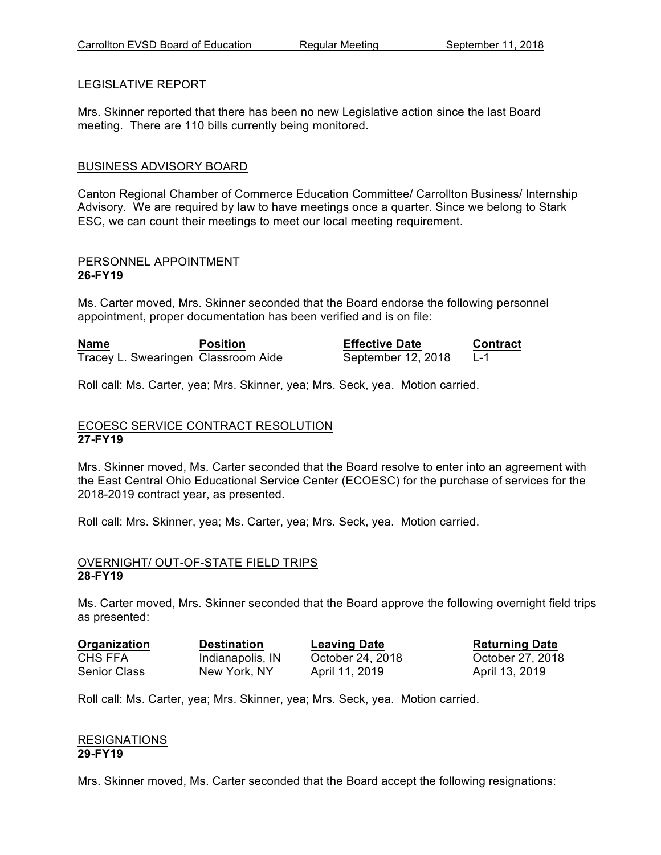# LEGISLATIVE REPORT

Mrs. Skinner reported that there has been no new Legislative action since the last Board meeting. There are 110 bills currently being monitored.

# BUSINESS ADVISORY BOARD

Canton Regional Chamber of Commerce Education Committee/ Carrollton Business/ Internship Advisory. We are required by law to have meetings once a quarter. Since we belong to Stark ESC, we can count their meetings to meet our local meeting requirement.

#### PERSONNEL APPOINTMENT **26-FY19**

Ms. Carter moved, Mrs. Skinner seconded that the Board endorse the following personnel appointment, proper documentation has been verified and is on file:

| Name                                | <b>Position</b> | <b>Effective Date</b> | <b>Contract</b> |
|-------------------------------------|-----------------|-----------------------|-----------------|
| Tracey L. Swearingen Classroom Aide |                 | September 12, 2018    |                 |

Roll call: Ms. Carter, yea; Mrs. Skinner, yea; Mrs. Seck, yea. Motion carried.

## ECOESC SERVICE CONTRACT RESOLUTION **27-FY19**

Mrs. Skinner moved, Ms. Carter seconded that the Board resolve to enter into an agreement with the East Central Ohio Educational Service Center (ECOESC) for the purchase of services for the 2018-2019 contract year, as presented.

Roll call: Mrs. Skinner, yea; Ms. Carter, yea; Mrs. Seck, yea. Motion carried.

#### OVERNIGHT/ OUT-OF-STATE FIELD TRIPS **28-FY19**

Ms. Carter moved, Mrs. Skinner seconded that the Board approve the following overnight field trips as presented:

**Organization Destination Leaving Date Returning Date** CHS FFA Indianapolis, IN October 24, 2018 October 27, 2018 Senior Class Mew York, NY April 11, 2019 April 13, 2019

Roll call: Ms. Carter, yea; Mrs. Skinner, yea; Mrs. Seck, yea. Motion carried.

## RESIGNATIONS **29-FY19**

Mrs. Skinner moved, Ms. Carter seconded that the Board accept the following resignations: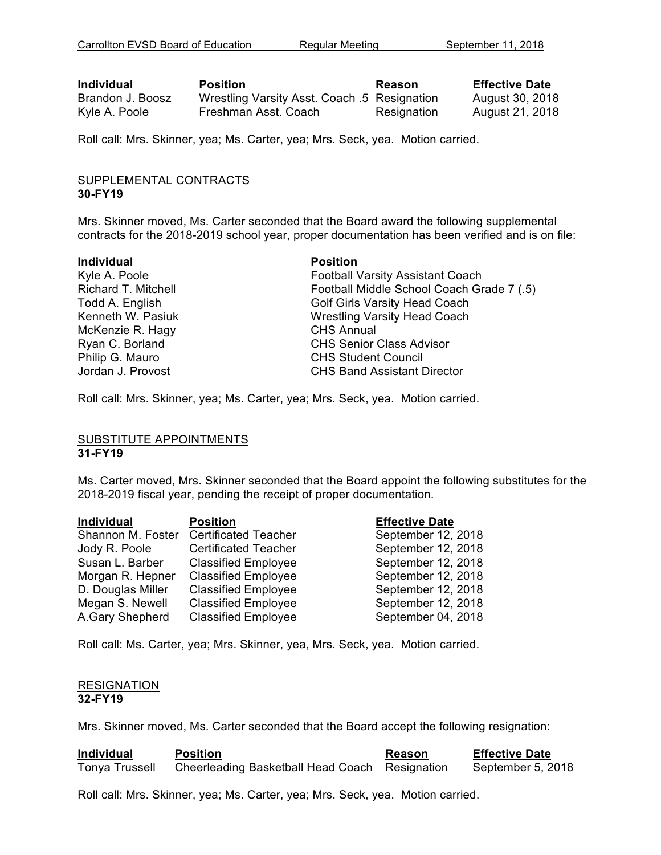**Individual <b>Position Position Reason Effective Date** Brandon J. Boosz Wrestling Varsity Asst. Coach .5 Resignation August 30, 2018 Kyle A. Poole Freshman Asst. Coach Resignation August 21, 2018

Roll call: Mrs. Skinner, yea; Ms. Carter, yea; Mrs. Seck, yea. Motion carried.

#### SUPPLEMENTAL CONTRACTS **30-FY19**

Mrs. Skinner moved, Ms. Carter seconded that the Board award the following supplemental contracts for the 2018-2019 school year, proper documentation has been verified and is on file:

#### **Individual Position**

McKenzie R. Hagy CHS Annual

Kyle A. Poole **Football Varsity Assistant Coach** Richard T. Mitchell Football Middle School Coach Grade 7 (.5) Todd A. English Golf Girls Varsity Head Coach Kenneth W. Pasiuk Wrestling Varsity Head Coach Ryan C. Borland CHS Senior Class Advisor Philip G. Mauro **CHS** Student Council Jordan J. Provost CHS Band Assistant Director

Roll call: Mrs. Skinner, yea; Ms. Carter, yea; Mrs. Seck, yea. Motion carried.

#### SUBSTITUTE APPOINTMENTS **31-FY19**

Ms. Carter moved, Mrs. Skinner seconded that the Board appoint the following substitutes for the 2018-2019 fiscal year, pending the receipt of proper documentation.

| Individual        | <b>Position</b>             | <b>Effective Date</b> |
|-------------------|-----------------------------|-----------------------|
| Shannon M. Foster | <b>Certificated Teacher</b> | September 12, 2018    |
| Jody R. Poole     | <b>Certificated Teacher</b> | September 12, 2018    |
| Susan L. Barber   | <b>Classified Employee</b>  | September 12, 2018    |
| Morgan R. Hepner  | <b>Classified Employee</b>  | September 12, 2018    |
| D. Douglas Miller | <b>Classified Employee</b>  | September 12, 2018    |
| Megan S. Newell   | <b>Classified Employee</b>  | September 12, 2018    |
| A.Gary Shepherd   | <b>Classified Employee</b>  | September 04, 2018    |

Roll call: Ms. Carter, yea; Mrs. Skinner, yea, Mrs. Seck, yea. Motion carried.

#### RESIGNATION **32-FY19**

Mrs. Skinner moved, Ms. Carter seconded that the Board accept the following resignation:

| <b>Individual</b>     | <b>Position</b>                                | <b>Reason</b> | <b>Effective Date</b> |
|-----------------------|------------------------------------------------|---------------|-----------------------|
| <b>Tonya Trussell</b> | Cheerleading Basketball Head Coach Resignation |               | September 5, 2018     |

Roll call: Mrs. Skinner, yea; Ms. Carter, yea; Mrs. Seck, yea. Motion carried.